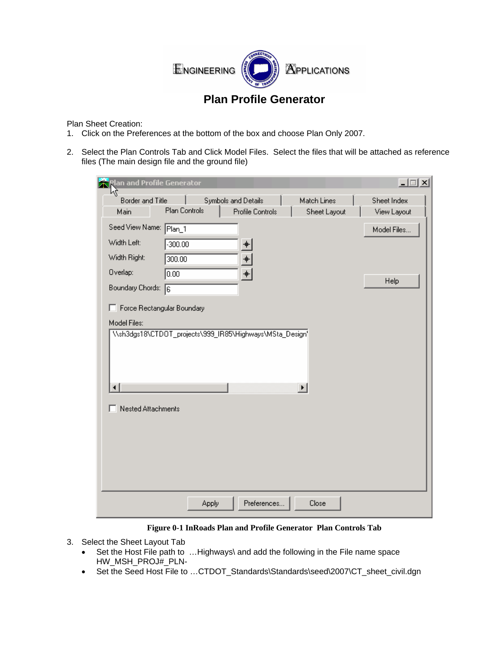

## **Plan Profile Generator**

Plan Sheet Creation:

- 1. Click on the Preferences at the bottom of the box and choose Plan Only 2007.
- 2. Select the Plan Controls Tab and Click Model Files. Select the files that will be attached as reference files (The main design file and the ground file)

| lan and Profile Generator    |                                                          |                  |                             | $\Box$                     |
|------------------------------|----------------------------------------------------------|------------------|-----------------------------|----------------------------|
| Border and Title<br>Main     | Symbols and Details<br><b>Plan Controls</b>              | Profile Controls | Match Lines<br>Sheet Layout | Sheet Index<br>View Layout |
| Seed View Name: Plan_1       |                                                          |                  |                             | Model Files                |
| Width Left:                  | $-300.00$                                                | 肀                |                             |                            |
| Width Right:<br>300.00       |                                                          | $\ddot{\text{}}$ |                             |                            |
| Overlap:<br>0.00             |                                                          | $\ddot{}$        |                             | Help                       |
| Boundary Chords: 6           |                                                          |                  |                             |                            |
| F Force Rectangular Boundary |                                                          |                  |                             |                            |
| Model Files:                 | \\sh3dgs18\CTD0T_projects\999_IR85\Highways\MSta_Design\ |                  |                             |                            |
|                              |                                                          |                  |                             |                            |
|                              |                                                          |                  |                             |                            |
|                              |                                                          |                  |                             |                            |
| ⊣                            |                                                          |                  | $\blacktriangleright$       |                            |
| <b>Nested Attachments</b>    |                                                          |                  |                             |                            |
|                              |                                                          |                  |                             |                            |
|                              |                                                          |                  |                             |                            |
|                              |                                                          |                  |                             |                            |
|                              |                                                          |                  |                             |                            |
|                              |                                                          |                  |                             |                            |
|                              | Apply                                                    | Preferences      | Close                       |                            |

**Figure 0-1 InRoads Plan and Profile Generator Plan Controls Tab** 

- 3. Select the Sheet Layout Tab
	- Set the Host File path to ...Highways\ and add the following in the File name space HW\_MSH\_PROJ#\_PLN-
	- Set the Seed Host File to ... CTDOT\_Standards\Standards\seed\2007\CT\_sheet\_civil.dgn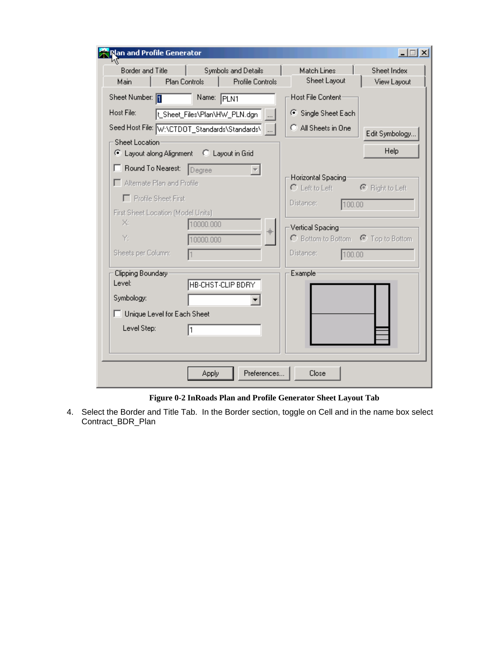| <mark>Nan and Profile Generator</mark>                                                                                |                                                                 |                                                                               |                            |
|-----------------------------------------------------------------------------------------------------------------------|-----------------------------------------------------------------|-------------------------------------------------------------------------------|----------------------------|
| <b>Border and Title</b><br>Main                                                                                       | Symbols and Details<br>Plan Controls<br><b>Profile Controls</b> | Match Lines<br>Sheet Layout                                                   | Sheet Index<br>View Layout |
| Sheet Number: 1                                                                                                       | Name: PLN1                                                      | Host File Content-                                                            |                            |
| Host File:                                                                                                            | t Sheet Files\Plan\HW_PLN.dgn                                   | ● Single Sheet Each                                                           |                            |
|                                                                                                                       | Seed Host File: W:\CTDOT_Standards\Standards\                   | C All Sheets in One                                                           | Edit Symbology             |
| Sheet Location:<br>C Layout along Alignment C Layout in Grid                                                          |                                                                 |                                                                               | Help                       |
| Round To Nearest: Degree<br>Alternate Plan and Profile<br>F Profile Sheet First<br>First Sheet Location (Model Units) |                                                                 | Horizontal Spacing<br>C Left to Left C Right to Left<br>Distance:<br>100.00   |                            |
| ×.<br>Y.<br>Sheets per Column:                                                                                        | 10000.000<br>$\ddot{\textbf{+}}$<br>10000.000                   | Vertical Spacing<br>C Bottom to Bottom C Top to Bottom<br>Distance:<br>100.00 |                            |
| Clipping Boundary:<br>Level:                                                                                          | HB-CHST-CLIP BDRY                                               | Example:                                                                      |                            |
| Symbology:<br>Unique Level for Each Sheet                                                                             |                                                                 |                                                                               |                            |
| Level Step:                                                                                                           | 1                                                               |                                                                               |                            |
|                                                                                                                       | Preferences<br>Apply                                            | Close                                                                         |                            |

**Figure 0-2 InRoads Plan and Profile Generator Sheet Layout Tab** 

4. Select the Border and Title Tab. In the Border section, toggle on Cell and in the name box select Contract\_BDR\_Plan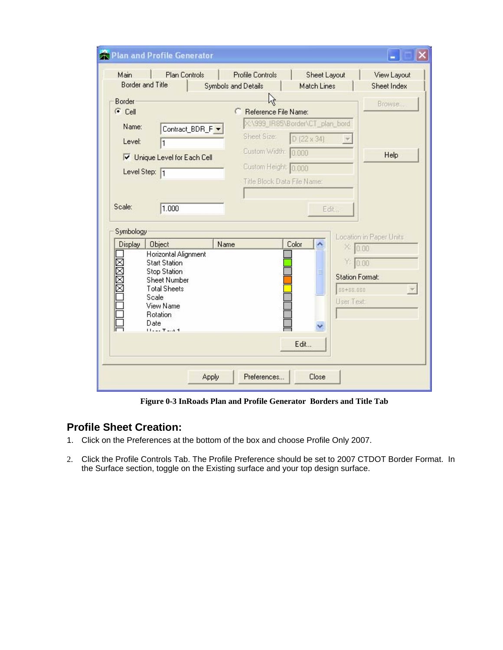| Main                                  | <b>Plan Controls</b><br><b>Border and Title</b>                                                                                                                            | <b>Profile Controls</b><br><b>Symbols and Details</b> | <b>Sheet Layout</b><br><b>Match Lines</b>                                             | View Layout<br>Sheet Index                                                        |
|---------------------------------------|----------------------------------------------------------------------------------------------------------------------------------------------------------------------------|-------------------------------------------------------|---------------------------------------------------------------------------------------|-----------------------------------------------------------------------------------|
| Border<br>$C$ Cell<br>Name:<br>Level: | Contract_BDR_F -                                                                                                                                                           | с                                                     | Reference File Name:<br>X:\999_IR85\Border\CT_plan_bord<br>Sheet Size:<br>D (22 x 34) | Browse                                                                            |
| Scale:                                | Unique Level for Each Cell<br>Level Step: 1<br>1.000                                                                                                                       |                                                       | Custom Width: 0.000<br>Custom Height: 0.000<br>Title Block Data File Name:<br>Edit.   | Help                                                                              |
| Symbology<br>Display                  | <b>Object</b>                                                                                                                                                              | Name                                                  | Color<br>A                                                                            | Location in Paper Units                                                           |
| <b>RASKACTOOOL</b>                    | Horizontal Alignment<br><b>Start Station</b><br><b>Stop Station</b><br><b>Sheet Number</b><br><b>Total Sheets</b><br>Scale<br>View Name<br><b>Rotation</b><br>Date<br>1171 |                                                       | Ξ                                                                                     | X: 0.00<br>$Y = 0.00$<br><b>Station Format:</b><br>\$\$4\$\$.\$\$\$<br>User Text: |
|                                       |                                                                                                                                                                            |                                                       | Edit                                                                                  |                                                                                   |

**Figure 0-3 InRoads Plan and Profile Generator Borders and Title Tab** 

## **Profile Sheet Creation:**

- 1. Click on the Preferences at the bottom of the box and choose Profile Only 2007.
- 2. Click the Profile Controls Tab. The Profile Preference should be set to 2007 CTDOT Border Format. In the Surface section, toggle on the Existing surface and your top design surface.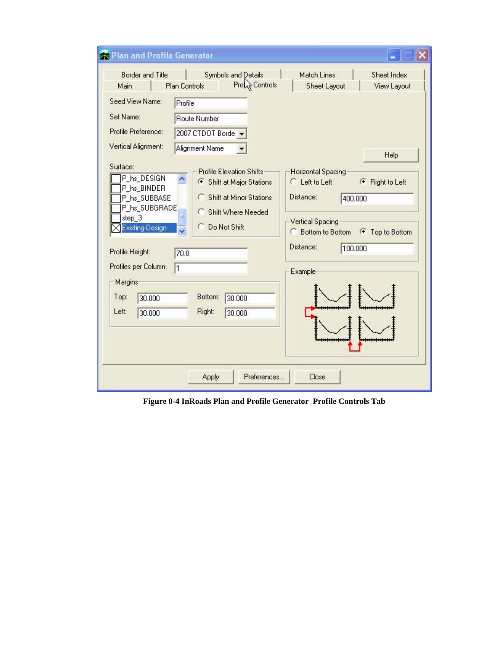| Plan and Profile Generator                                                                                                                                                          |                                                                                                                                                                                                            |                                                                                                                                                                                                          |
|-------------------------------------------------------------------------------------------------------------------------------------------------------------------------------------|------------------------------------------------------------------------------------------------------------------------------------------------------------------------------------------------------------|----------------------------------------------------------------------------------------------------------------------------------------------------------------------------------------------------------|
| <b>Border and Title</b><br>Main                                                                                                                                                     | <b>Symbols and Details</b><br>Prote Controls<br>Plan Controls                                                                                                                                              | <b>Match Lines</b><br>Sheet Index<br>Sheet Layout<br>View Layout                                                                                                                                         |
| Seed View Name:                                                                                                                                                                     | Profile                                                                                                                                                                                                    |                                                                                                                                                                                                          |
| Set Name:                                                                                                                                                                           | Route Number                                                                                                                                                                                               |                                                                                                                                                                                                          |
| Profile Preference:                                                                                                                                                                 | 2007 CTDOT Borde                                                                                                                                                                                           |                                                                                                                                                                                                          |
| Vertical Alignment:                                                                                                                                                                 | Alignment Name                                                                                                                                                                                             | Help                                                                                                                                                                                                     |
| P_hs_DESIGN<br>P_hs_BINDER<br>P_hs_SUBBASE<br>P_hs_SUBGRADE<br>step_3<br>Existing-Design<br>Profile Height:<br>Profiles per Column:<br>Margins<br>Top:<br>30.000<br>Left:<br>30,000 | <b>Profile Elevation Shifts</b><br>6 Shift at Major Stations<br><b>Shift at Minor Stations</b><br><b>C</b> Shift Where Needed<br>≣<br>C Do Not Shift<br>70.0<br>1<br>Bottom:<br>30,000<br>Right:<br>30.000 | Horizontal Spacing<br><b>C</b> Left to Left<br>F Right to Left<br>Distance:<br>400.000<br><b>Vertical Spacing</b><br><b>C</b> Bottom to Bottom <b>G</b> Top to Bottom<br>Distance:<br>100.000<br>Example |
|                                                                                                                                                                                     | Preferences<br>Apply                                                                                                                                                                                       | Close                                                                                                                                                                                                    |

**Figure 0-4 InRoads Plan and Profile Generator Profile Controls Tab**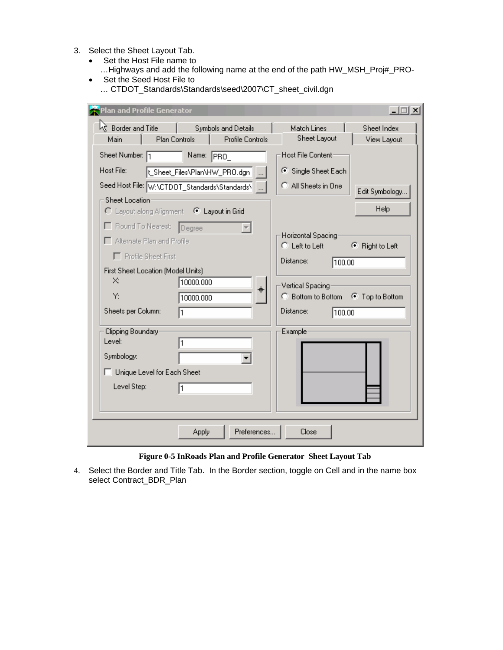- 3. Select the Sheet Layout Tab.
	- Set the Host File name to
		- …Highways and add the following name at the end of the path HW\_MSH\_Proj#\_PRO-
	- Set the Seed Host File to … CTDOT\_Standards\Standards\seed\2007\CT\_sheet\_civil.dgn

| Plan and Profile Generator                                                                                                                      |                                               | $ \Box$ $\times$                                                              |
|-------------------------------------------------------------------------------------------------------------------------------------------------|-----------------------------------------------|-------------------------------------------------------------------------------|
| $\sqrt{x}$ Border and Title<br>Plan Controls<br>Main                                                                                            | Symbols and Details<br>Profile Controls       | Sheet Index<br>Match Lines<br>Sheet Layout<br>View Layout                     |
| Sheet Number: 1                                                                                                                                 | Name: PRO_                                    | Host File Content-                                                            |
| Host File:                                                                                                                                      | L_Sheet_Files\Plan\HW_PRO.dgn                 | ● Single Sheet Each                                                           |
|                                                                                                                                                 | Seed Host File: W:\CTDOT_Standards\Standards\ | C All Sheets in One<br>Edit Symbology                                         |
| Sheet Location-<br>C Layout along Alignment © Layout in Grid<br>Round To Nearest: Degree<br>Alternate Plan and Profile<br>F Profile Sheet First |                                               | Help<br>Horizontal Spacing<br>C Left to Left<br>● Right to Left               |
| First Sheet Location (Model Units)<br>X.<br>Y:                                                                                                  | 10000.000<br>⊕<br>10000.000                   | Distance:<br>100.00<br>Vertical Spacing<br>C Bottom to Bottom G Top to Bottom |
| Sheets per Column:                                                                                                                              |                                               | Distance:<br>100.00                                                           |
| Clipping Boundary<br>Level:<br>Symbology:<br>□ Unique Level for Each Sheet<br>Level Step:                                                       | 1<br>I1                                       | Example <sup>®</sup>                                                          |
|                                                                                                                                                 | Preferences<br>Apply                          | Close                                                                         |

## **Figure 0-5 InRoads Plan and Profile Generator Sheet Layout Tab**

4. Select the Border and Title Tab. In the Border section, toggle on Cell and in the name box select Contract\_BDR\_Plan